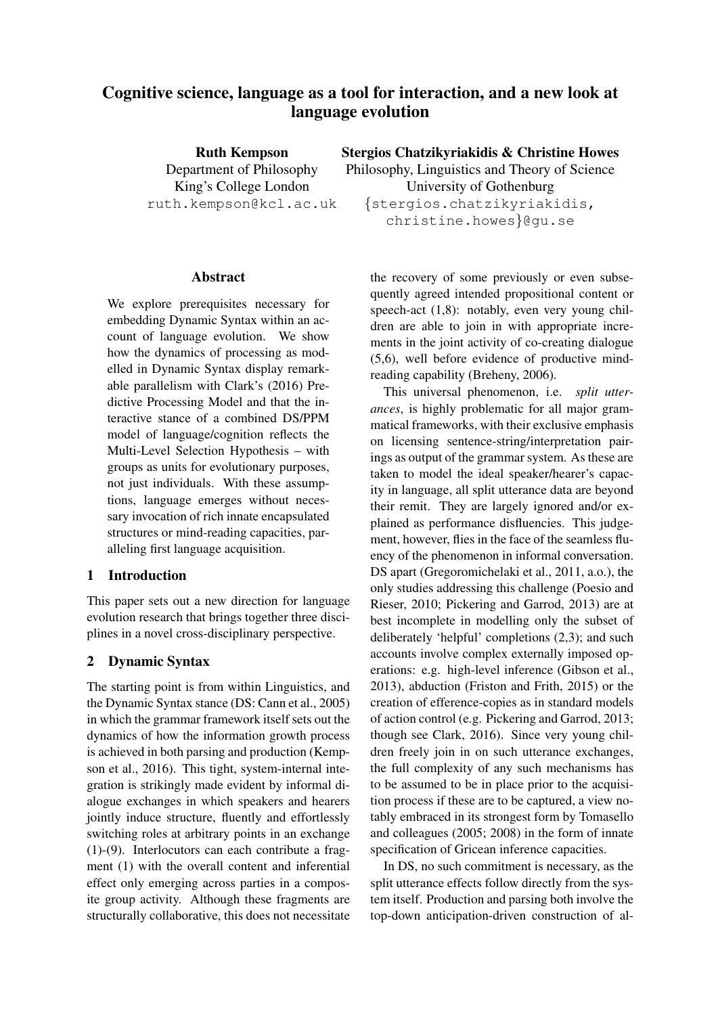# Cognitive science, language as a tool for interaction, and a new look at language evolution

Ruth Kempson Department of Philosophy King's College London ruth.kempson@kcl.ac.uk

#### Abstract

We explore prerequisites necessary for embedding Dynamic Syntax within an account of language evolution. We show how the dynamics of processing as modelled in Dynamic Syntax display remarkable parallelism with Clark's (2016) Predictive Processing Model and that the interactive stance of a combined DS/PPM model of language/cognition reflects the Multi-Level Selection Hypothesis – with groups as units for evolutionary purposes, not just individuals. With these assumptions, language emerges without necessary invocation of rich innate encapsulated structures or mind-reading capacities, paralleling first language acquisition.

# 1 Introduction

This paper sets out a new direction for language evolution research that brings together three disciplines in a novel cross-disciplinary perspective.

### 2 Dynamic Syntax

The starting point is from within Linguistics, and the Dynamic Syntax stance (DS: Cann et al., 2005) in which the grammar framework itself sets out the dynamics of how the information growth process is achieved in both parsing and production (Kempson et al., 2016). This tight, system-internal integration is strikingly made evident by informal dialogue exchanges in which speakers and hearers jointly induce structure, fluently and effortlessly switching roles at arbitrary points in an exchange (1)-(9). Interlocutors can each contribute a fragment (1) with the overall content and inferential effect only emerging across parties in a composite group activity. Although these fragments are structurally collaborative, this does not necessitate

Stergios Chatzikyriakidis & Christine Howes Philosophy, Linguistics and Theory of Science University of Gothenburg {stergios.chatzikyriakidis, christine.howes}@gu.se

> the recovery of some previously or even subsequently agreed intended propositional content or speech-act (1,8): notably, even very young children are able to join in with appropriate increments in the joint activity of co-creating dialogue (5,6), well before evidence of productive mindreading capability (Breheny, 2006).

> This universal phenomenon, i.e. *split utterances*, is highly problematic for all major grammatical frameworks, with their exclusive emphasis on licensing sentence-string/interpretation pairings as output of the grammar system. As these are taken to model the ideal speaker/hearer's capacity in language, all split utterance data are beyond their remit. They are largely ignored and/or explained as performance disfluencies. This judgement, however, flies in the face of the seamless fluency of the phenomenon in informal conversation. DS apart (Gregoromichelaki et al., 2011, a.o.), the only studies addressing this challenge (Poesio and Rieser, 2010; Pickering and Garrod, 2013) are at best incomplete in modelling only the subset of deliberately 'helpful' completions (2,3); and such accounts involve complex externally imposed operations: e.g. high-level inference (Gibson et al., 2013), abduction (Friston and Frith, 2015) or the creation of efference-copies as in standard models of action control (e.g. Pickering and Garrod, 2013; though see Clark, 2016). Since very young children freely join in on such utterance exchanges, the full complexity of any such mechanisms has to be assumed to be in place prior to the acquisition process if these are to be captured, a view notably embraced in its strongest form by Tomasello and colleagues (2005; 2008) in the form of innate specification of Gricean inference capacities.

> In DS, no such commitment is necessary, as the split utterance effects follow directly from the system itself. Production and parsing both involve the top-down anticipation-driven construction of al-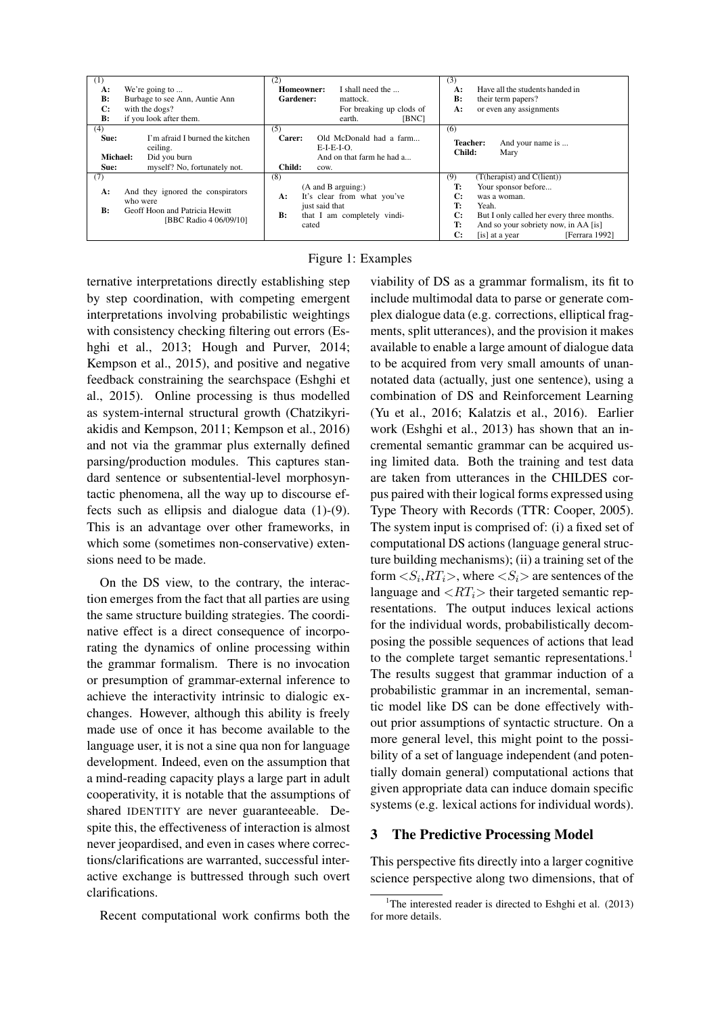| (1)<br>We're going to<br><b>A:</b><br>B:<br>Burbage to see Ann, Auntie Ann<br>C:<br>with the dogs?<br>B:<br>if you look after them. | (2)<br>I shall need the<br>Homeowner:<br>Gardener:<br>mattock.<br>For breaking up clods of<br><b>IBNCI</b><br>earth.                             | (3)<br>Have all the students handed in<br>A:<br><b>B:</b><br>their term papers?<br>or even any assignments<br>A:                                                                                                                                                   |
|-------------------------------------------------------------------------------------------------------------------------------------|--------------------------------------------------------------------------------------------------------------------------------------------------|--------------------------------------------------------------------------------------------------------------------------------------------------------------------------------------------------------------------------------------------------------------------|
| (4)<br>I'm afraid I burned the kitchen<br>Sue:<br>ceiling.<br>Michael:<br>Did you burn<br>myself? No, fortunately not.<br>Sue:      | (5)<br>Old McDonald had a farm<br>Carer:<br>$E-I-E-I-O.$<br>And on that farm he had a<br>Child:<br>COW.                                          | (6)<br>And your name is<br><b>Teacher:</b><br>Child:<br>Mary                                                                                                                                                                                                       |
| (7)<br>And they ignored the conspirators<br>A:<br>who were<br>$\bf B$ :<br>Geoff Hoon and Patricia Hewitt<br>[BBC Radio 4 06/09/10] | (8)<br>$(A \text{ and } B \text{ arguing})$<br>It's clear from what you've<br>A:<br>just said that<br>B:<br>that I am completely vindi-<br>cated | (9)<br>(T(herapist) and C(lient))<br>T:<br>Your sponsor before<br>C:<br>was a woman.<br>T:<br>Yeah.<br>$\mathbf{C}$<br>But I only called her every three months.<br>T:<br>And so your sobriety now, in AA [is]<br>$\mathbf{C}$<br>[Ferrara 1992]<br>[is] at a year |

#### Figure 1: Examples

ternative interpretations directly establishing step by step coordination, with competing emergent interpretations involving probabilistic weightings with consistency checking filtering out errors (Eshghi et al., 2013; Hough and Purver, 2014; Kempson et al., 2015), and positive and negative feedback constraining the searchspace (Eshghi et al., 2015). Online processing is thus modelled as system-internal structural growth (Chatzikyriakidis and Kempson, 2011; Kempson et al., 2016) and not via the grammar plus externally defined parsing/production modules. This captures standard sentence or subsentential-level morphosyntactic phenomena, all the way up to discourse effects such as ellipsis and dialogue data (1)-(9). This is an advantage over other frameworks, in which some (sometimes non-conservative) extensions need to be made.

On the DS view, to the contrary, the interaction emerges from the fact that all parties are using the same structure building strategies. The coordinative effect is a direct consequence of incorporating the dynamics of online processing within the grammar formalism. There is no invocation or presumption of grammar-external inference to achieve the interactivity intrinsic to dialogic exchanges. However, although this ability is freely made use of once it has become available to the language user, it is not a sine qua non for language development. Indeed, even on the assumption that a mind-reading capacity plays a large part in adult cooperativity, it is notable that the assumptions of shared IDENTITY are never guaranteeable. Despite this, the effectiveness of interaction is almost never jeopardised, and even in cases where corrections/clarifications are warranted, successful interactive exchange is buttressed through such overt clarifications.

Recent computational work confirms both the

viability of DS as a grammar formalism, its fit to include multimodal data to parse or generate complex dialogue data (e.g. corrections, elliptical fragments, split utterances), and the provision it makes available to enable a large amount of dialogue data to be acquired from very small amounts of unannotated data (actually, just one sentence), using a combination of DS and Reinforcement Learning (Yu et al., 2016; Kalatzis et al., 2016). Earlier work (Eshghi et al., 2013) has shown that an incremental semantic grammar can be acquired using limited data. Both the training and test data are taken from utterances in the CHILDES corpus paired with their logical forms expressed using Type Theory with Records (TTR: Cooper, 2005). The system input is comprised of: (i) a fixed set of computational DS actions (language general structure building mechanisms); (ii) a training set of the form  $\langle S_i, RT_i \rangle$ , where  $\langle S_i \rangle$  are sentences of the language and  $\langle RT_i \rangle$  their targeted semantic representations. The output induces lexical actions for the individual words, probabilistically decomposing the possible sequences of actions that lead to the complete target semantic representations.<sup>1</sup> The results suggest that grammar induction of a probabilistic grammar in an incremental, semantic model like DS can be done effectively without prior assumptions of syntactic structure. On a more general level, this might point to the possibility of a set of language independent (and potentially domain general) computational actions that given appropriate data can induce domain specific systems (e.g. lexical actions for individual words).

#### 3 The Predictive Processing Model

This perspective fits directly into a larger cognitive science perspective along two dimensions, that of

<sup>&</sup>lt;sup>1</sup>The interested reader is directed to Eshghi et al.  $(2013)$ for more details.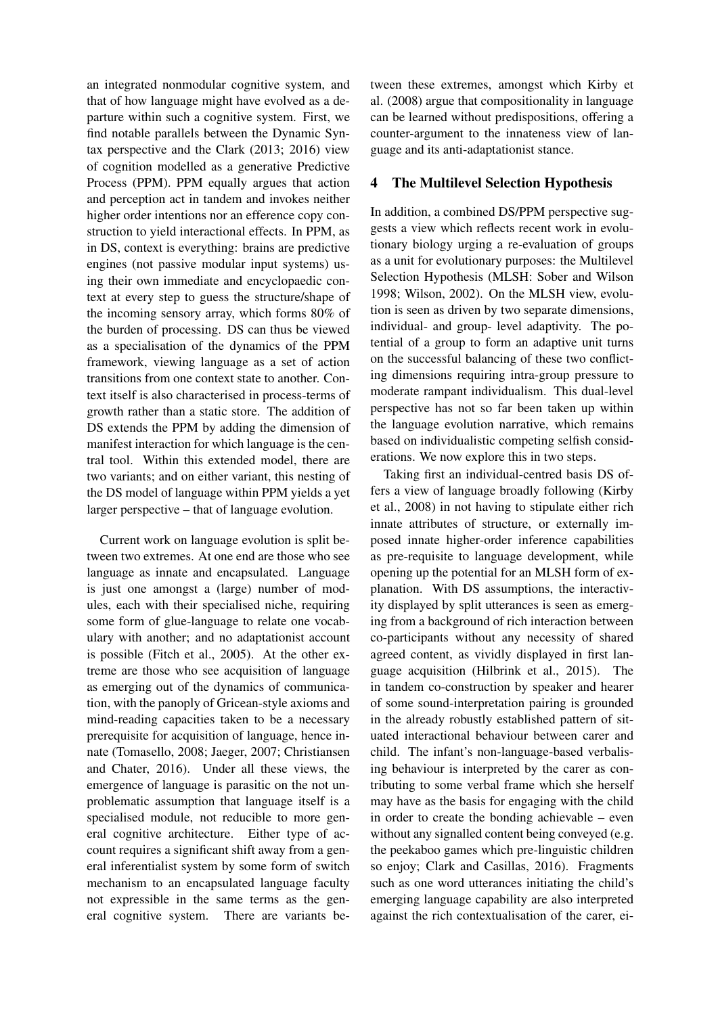an integrated nonmodular cognitive system, and that of how language might have evolved as a departure within such a cognitive system. First, we find notable parallels between the Dynamic Syntax perspective and the Clark (2013; 2016) view of cognition modelled as a generative Predictive Process (PPM). PPM equally argues that action and perception act in tandem and invokes neither higher order intentions nor an efference copy construction to yield interactional effects. In PPM, as in DS, context is everything: brains are predictive engines (not passive modular input systems) using their own immediate and encyclopaedic context at every step to guess the structure/shape of the incoming sensory array, which forms 80% of the burden of processing. DS can thus be viewed as a specialisation of the dynamics of the PPM framework, viewing language as a set of action transitions from one context state to another. Context itself is also characterised in process-terms of growth rather than a static store. The addition of DS extends the PPM by adding the dimension of manifest interaction for which language is the central tool. Within this extended model, there are two variants; and on either variant, this nesting of the DS model of language within PPM yields a yet larger perspective – that of language evolution.

Current work on language evolution is split between two extremes. At one end are those who see language as innate and encapsulated. Language is just one amongst a (large) number of modules, each with their specialised niche, requiring some form of glue-language to relate one vocabulary with another; and no adaptationist account is possible (Fitch et al., 2005). At the other extreme are those who see acquisition of language as emerging out of the dynamics of communication, with the panoply of Gricean-style axioms and mind-reading capacities taken to be a necessary prerequisite for acquisition of language, hence innate (Tomasello, 2008; Jaeger, 2007; Christiansen and Chater, 2016). Under all these views, the emergence of language is parasitic on the not unproblematic assumption that language itself is a specialised module, not reducible to more general cognitive architecture. Either type of account requires a significant shift away from a general inferentialist system by some form of switch mechanism to an encapsulated language faculty not expressible in the same terms as the general cognitive system. There are variants between these extremes, amongst which Kirby et al. (2008) argue that compositionality in language can be learned without predispositions, offering a counter-argument to the innateness view of language and its anti-adaptationist stance.

## 4 The Multilevel Selection Hypothesis

In addition, a combined DS/PPM perspective suggests a view which reflects recent work in evolutionary biology urging a re-evaluation of groups as a unit for evolutionary purposes: the Multilevel Selection Hypothesis (MLSH: Sober and Wilson 1998; Wilson, 2002). On the MLSH view, evolution is seen as driven by two separate dimensions, individual- and group- level adaptivity. The potential of a group to form an adaptive unit turns on the successful balancing of these two conflicting dimensions requiring intra-group pressure to moderate rampant individualism. This dual-level perspective has not so far been taken up within the language evolution narrative, which remains based on individualistic competing selfish considerations. We now explore this in two steps.

Taking first an individual-centred basis DS offers a view of language broadly following (Kirby et al., 2008) in not having to stipulate either rich innate attributes of structure, or externally imposed innate higher-order inference capabilities as pre-requisite to language development, while opening up the potential for an MLSH form of explanation. With DS assumptions, the interactivity displayed by split utterances is seen as emerging from a background of rich interaction between co-participants without any necessity of shared agreed content, as vividly displayed in first language acquisition (Hilbrink et al., 2015). The in tandem co-construction by speaker and hearer of some sound-interpretation pairing is grounded in the already robustly established pattern of situated interactional behaviour between carer and child. The infant's non-language-based verbalising behaviour is interpreted by the carer as contributing to some verbal frame which she herself may have as the basis for engaging with the child in order to create the bonding achievable – even without any signalled content being conveyed (e.g. the peekaboo games which pre-linguistic children so enjoy; Clark and Casillas, 2016). Fragments such as one word utterances initiating the child's emerging language capability are also interpreted against the rich contextualisation of the carer, ei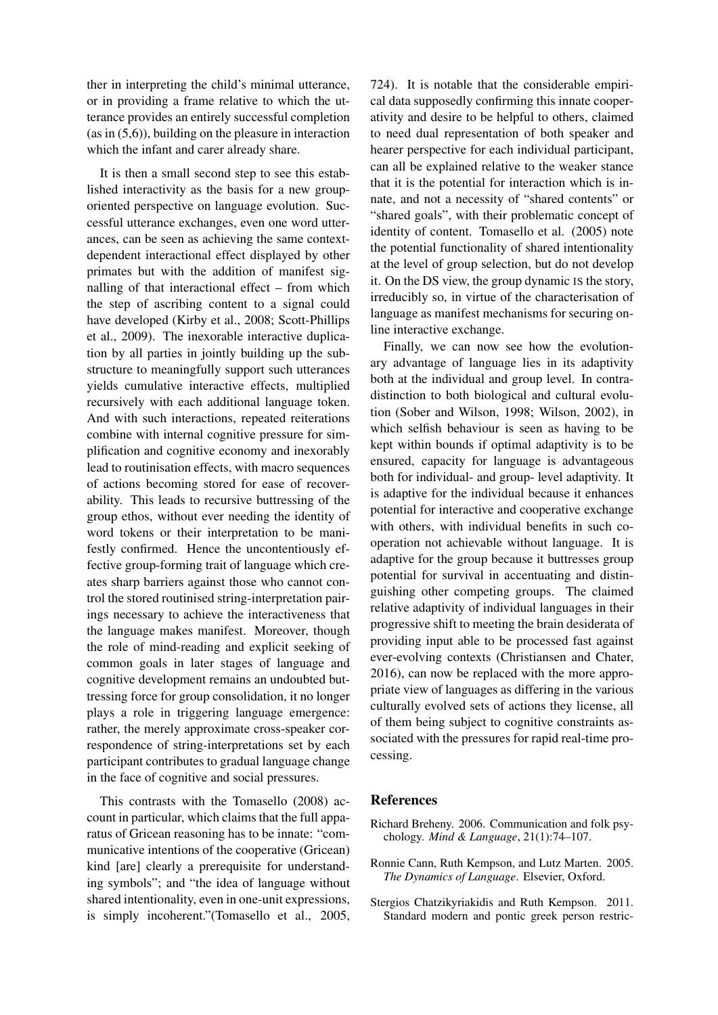ther in interpreting the child's minimal utterance, or in providing a frame relative to which the utterance provides an entirely successful completion (as in (5,6)), building on the pleasure in interaction which the infant and carer already share.

It is then a small second step to see this established interactivity as the basis for a new grouporiented perspective on language evolution. Successful utterance exchanges, even one word utterances, can be seen as achieving the same contextdependent interactional effect displayed by other primates but with the addition of manifest signalling of that interactional effect – from which the step of ascribing content to a signal could have developed (Kirby et al., 2008; Scott-Phillips et al., 2009). The inexorable interactive duplication by all parties in jointly building up the substructure to meaningfully support such utterances yields cumulative interactive effects, multiplied recursively with each additional language token. And with such interactions, repeated reiterations combine with internal cognitive pressure for simplification and cognitive economy and inexorably lead to routinisation effects, with macro sequences of actions becoming stored for ease of recoverability. This leads to recursive buttressing of the group ethos, without ever needing the identity of word tokens or their interpretation to be manifestly confirmed. Hence the uncontentiously effective group-forming trait of language which creates sharp barriers against those who cannot control the stored routinised string-interpretation pairings necessary to achieve the interactiveness that the language makes manifest. Moreover, though the role of mind-reading and explicit seeking of common goals in later stages of language and cognitive development remains an undoubted buttressing force for group consolidation, it no longer plays a role in triggering language emergence: rather, the merely approximate cross-speaker correspondence of string-interpretations set by each participant contributes to gradual language change in the face of cognitive and social pressures.

This contrasts with the Tomasello (2008) account in particular, which claims that the full apparatus of Gricean reasoning has to be innate: "communicative intentions of the cooperative (Gricean) kind [are] clearly a prerequisite for understanding symbols"; and "the idea of language without shared intentionality, even in one-unit expressions, is simply incoherent."(Tomasello et al., 2005, 724). It is notable that the considerable empirical data supposedly confirming this innate cooperativity and desire to be helpful to others, claimed to need dual representation of both speaker and hearer perspective for each individual participant, can all be explained relative to the weaker stance that it is the potential for interaction which is innate, and not a necessity of "shared contents" or "shared goals", with their problematic concept of identity of content. Tomasello et al. (2005) note the potential functionality of shared intentionality at the level of group selection, but do not develop it. On the DS view, the group dynamic IS the story, irreducibly so, in virtue of the characterisation of language as manifest mechanisms for securing online interactive exchange.

Finally, we can now see how the evolutionary advantage of language lies in its adaptivity both at the individual and group level. In contradistinction to both biological and cultural evolution (Sober and Wilson, 1998; Wilson, 2002), in which selfish behaviour is seen as having to be kept within bounds if optimal adaptivity is to be ensured, capacity for language is advantageous both for individual- and group- level adaptivity. It is adaptive for the individual because it enhances potential for interactive and cooperative exchange with others, with individual benefits in such cooperation not achievable without language. It is adaptive for the group because it buttresses group potential for survival in accentuating and distinguishing other competing groups. The claimed relative adaptivity of individual languages in their progressive shift to meeting the brain desiderata of providing input able to be processed fast against ever-evolving contexts (Christiansen and Chater, 2016), can now be replaced with the more appropriate view of languages as differing in the various culturally evolved sets of actions they license, all of them being subject to cognitive constraints associated with the pressures for rapid real-time processing.

#### References

- Richard Breheny. 2006. Communication and folk psychology. *Mind & Language*, 21(1):74–107.
- Ronnie Cann, Ruth Kempson, and Lutz Marten. 2005. *The Dynamics of Language*. Elsevier, Oxford.
- Stergios Chatzikyriakidis and Ruth Kempson. 2011. Standard modern and pontic greek person restric-